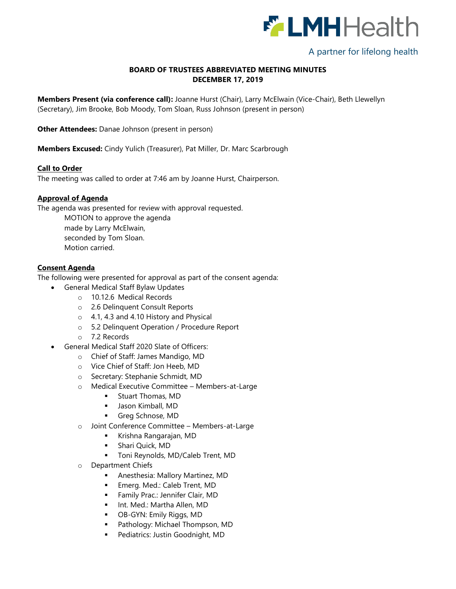

# A partner for lifelong health

## **BOARD OF TRUSTEES ABBREVIATED MEETING MINUTES DECEMBER 17, 2019**

**Members Present (via conference call):** Joanne Hurst (Chair), Larry McElwain (Vice-Chair), Beth Llewellyn (Secretary), Jim Brooke, Bob Moody, Tom Sloan, Russ Johnson (present in person)

**Other Attendees:** Danae Johnson (present in person)

**Members Excused:** Cindy Yulich (Treasurer), Pat Miller, Dr. Marc Scarbrough

#### **Call to Order**

The meeting was called to order at 7:46 am by Joanne Hurst, Chairperson.

#### **Approval of Agenda**

The agenda was presented for review with approval requested.

MOTION to approve the agenda made by Larry McElwain, seconded by Tom Sloan. Motion carried.

#### **Consent Agenda**

The following were presented for approval as part of the consent agenda:

- General Medical Staff Bylaw Updates
	- o 10.12.6 Medical Records
	- o 2.6 Delinquent Consult Reports
	- o 4.1, 4.3 and 4.10 History and Physical
	- o 5.2 Delinquent Operation / Procedure Report
	- o 7.2 Records
- General Medical Staff 2020 Slate of Officers:
	- o Chief of Staff: James Mandigo, MD
	- o Vice Chief of Staff: Jon Heeb, MD
	- o Secretary: Stephanie Schmidt, MD
	- o Medical Executive Committee Members-at-Large
		- **Stuart Thomas, MD**
		- **Jason Kimball, MD**
		- Greg Schnose, MD
	- o Joint Conference Committee Members-at-Large
		- Krishna Rangarajan, MD
		- **Shari Quick, MD**
		- **Toni Reynolds, MD/Caleb Trent, MD**
	- o Department Chiefs
		- Anesthesia: Mallory Martinez, MD
		- **Emerg. Med.: Caleb Trent, MD**
		- Family Prac.: Jennifer Clair, MD
		- **IDE.** Int. Med.: Martha Allen, MD
		- OB-GYN: Emily Riggs, MD
		- **Pathology: Michael Thompson, MD**
		- **Pediatrics: Justin Goodnight, MD**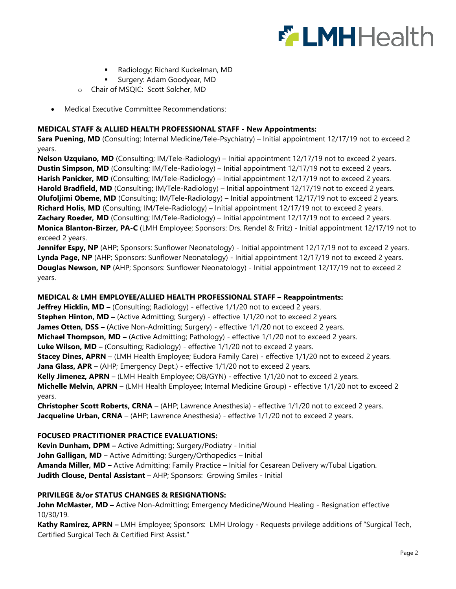

- Radiology: Richard Kuckelman, MD
- Surgery: Adam Goodyear, MD
- o Chair of MSQIC: Scott Solcher, MD
- Medical Executive Committee Recommendations:

## **MEDICAL STAFF & ALLIED HEALTH PROFESSIONAL STAFF - New Appointments:**

**Sara Puening, MD** (Consulting; Internal Medicine/Tele-Psychiatry) – Initial appointment 12/17/19 not to exceed 2 years.

**Nelson Uzquiano, MD** (Consulting; IM/Tele-Radiology) – Initial appointment 12/17/19 not to exceed 2 years. **Dustin Simpson, MD** (Consulting; IM/Tele-Radiology) – Initial appointment 12/17/19 not to exceed 2 years. **Harish Panicker, MD** (Consulting; IM/Tele-Radiology) – Initial appointment 12/17/19 not to exceed 2 years. **Harold Bradfield, MD** (Consulting; IM/Tele-Radiology) – Initial appointment 12/17/19 not to exceed 2 years. **Olufoljimi Obeme, MD** (Consulting; IM/Tele-Radiology) – Initial appointment 12/17/19 not to exceed 2 years. **Richard Holis, MD** (Consulting; IM/Tele-Radiology) – Initial appointment 12/17/19 not to exceed 2 years. **Zachary Roeder, MD** (Consulting; IM/Tele-Radiology) – Initial appointment 12/17/19 not to exceed 2 years. **Monica Blanton-Birzer, PA-C** (LMH Employee; Sponsors: Drs. Rendel & Fritz) - Initial appointment 12/17/19 not to exceed 2 years.

**Jennifer Espy, NP** (AHP; Sponsors: Sunflower Neonatology) - Initial appointment 12/17/19 not to exceed 2 years. **Lynda Page, NP** (AHP; Sponsors: Sunflower Neonatology) - Initial appointment 12/17/19 not to exceed 2 years. **Douglas Newson, NP** (AHP; Sponsors: Sunflower Neonatology) - Initial appointment 12/17/19 not to exceed 2 years.

## **MEDICAL & LMH EMPLOYEE/ALLIED HEALTH PROFESSIONAL STAFF – Reappointments:**

**Jeffrey Hicklin, MD** – (Consulting; Radiology) - effective 1/1/20 not to exceed 2 years. **Stephen Hinton, MD** – (Active Admitting; Surgery) - effective 1/1/20 not to exceed 2 years. **James Otten, DSS** – (Active Non-Admitting; Surgery) - effective 1/1/20 not to exceed 2 years. **Michael Thompson, MD** – (Active Admitting; Pathology) - effective 1/1/20 not to exceed 2 years. **Luke Wilson, MD –** (Consulting; Radiology) - effective 1/1/20 not to exceed 2 years. **Stacey Dines, APRN** – (LMH Health Employee; Eudora Family Care) - effective 1/1/20 not to exceed 2 years. **Jana Glass, APR** – (AHP; Emergency Dept.) - effective 1/1/20 not to exceed 2 years. **Kelly Jimenez, APRN** – (LMH Health Employee; OB/GYN) - effective 1/1/20 not to exceed 2 years. **Michelle Melvin, APRN** – (LMH Health Employee; Internal Medicine Group) - effective 1/1/20 not to exceed 2 years.

**Christopher Scott Roberts, CRNA** – (AHP; Lawrence Anesthesia) - effective 1/1/20 not to exceed 2 years. **Jacqueline Urban, CRNA** – (AHP; Lawrence Anesthesia) - effective 1/1/20 not to exceed 2 years.

#### **FOCUSED PRACTITIONER PRACTICE EVALUATIONS:**

**Kevin Dunham, DPM –** Active Admitting; Surgery/Podiatry - Initial **John Galligan, MD –** Active Admitting; Surgery/Orthopedics – Initial **Amanda Miller, MD –** Active Admitting; Family Practice – Initial for Cesarean Delivery w/Tubal Ligation. **Judith Clouse, Dental Assistant –** AHP; Sponsors: Growing Smiles - Initial

#### **PRIVILEGE &/or STATUS CHANGES & RESIGNATIONS:**

**John McMaster, MD –** Active Non-Admitting; Emergency Medicine/Wound Healing - Resignation effective 10/30/19.

**Kathy Ramirez, APRN –** LMH Employee; Sponsors: LMH Urology - Requests privilege additions of "Surgical Tech, Certified Surgical Tech & Certified First Assist."